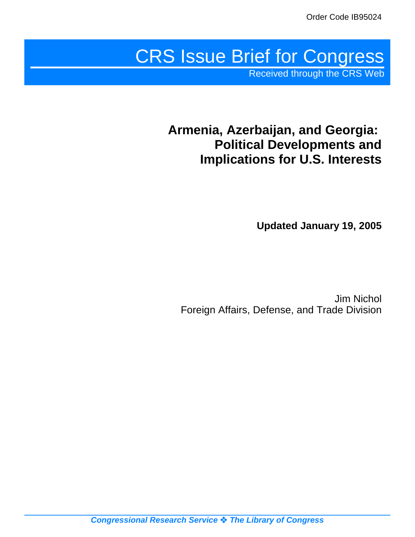# CRS Issue Brief for Congress

Received through the CRS Web

## **Armenia, Azerbaijan, and Georgia: Political Developments and Implications for U.S. Interests**

**Updated January 19, 2005**

Jim Nichol Foreign Affairs, Defense, and Trade Division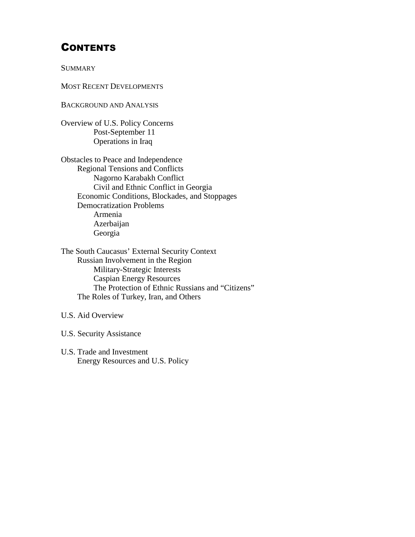## **CONTENTS**

**SUMMARY** 

MOST RECENT DEVELOPMENTS

BACKGROUND AND ANALYSIS

Overview of U.S. Policy Concerns Post-September 11 Operations in Iraq

Obstacles to Peace and Independence Regional Tensions and Conflicts Nagorno Karabakh Conflict Civil and Ethnic Conflict in Georgia Economic Conditions, Blockades, and Stoppages Democratization Problems Armenia Azerbaijan Georgia

The South Caucasus' External Security Context Russian Involvement in the Region Military-Strategic Interests Caspian Energy Resources The Protection of Ethnic Russians and "Citizens" The Roles of Turkey, Iran, and Others

U.S. Aid Overview

U.S. Security Assistance

U.S. Trade and Investment Energy Resources and U.S. Policy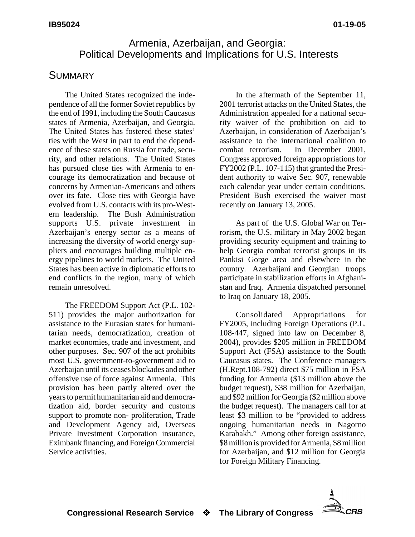## Armenia, Azerbaijan, and Georgia: Political Developments and Implications for U.S. Interests

#### **SUMMARY**

The United States recognized the independence of all the former Soviet republics by the end of 1991, including the South Caucasus states of Armenia, Azerbaijan, and Georgia. The United States has fostered these states' ties with the West in part to end the dependence of these states on Russia for trade, security, and other relations. The United States has pursued close ties with Armenia to encourage its democratization and because of concerns by Armenian-Americans and others over its fate. Close ties with Georgia have evolved from U.S. contacts with its pro-Western leadership. The Bush Administration supports U.S. private investment in Azerbaijan's energy sector as a means of increasing the diversity of world energy suppliers and encourages building multiple energy pipelines to world markets. The United States has been active in diplomatic efforts to end conflicts in the region, many of which remain unresolved.

The FREEDOM Support Act (P.L. 102- 511) provides the major authorization for assistance to the Eurasian states for humanitarian needs, democratization, creation of market economies, trade and investment, and other purposes. Sec. 907 of the act prohibits most U.S. government-to-government aid to Azerbaijan until its ceases blockades and other offensive use of force against Armenia. This provision has been partly altered over the years to permit humanitarian aid and democratization aid, border security and customs support to promote non- proliferation, Trade and Development Agency aid, Overseas Private Investment Corporation insurance, Eximbank financing, and Foreign Commercial Service activities.

In the aftermath of the September 11, 2001 terrorist attacks on the United States, the Administration appealed for a national security waiver of the prohibition on aid to Azerbaijan, in consideration of Azerbaijan's assistance to the international coalition to combat terrorism. In December 2001, Congress approved foreign appropriations for FY2002 (P.L. 107-115) that granted the President authority to waive Sec. 907, renewable each calendar year under certain conditions. President Bush exercised the waiver most recently on January 13, 2005.

As part of the U.S. Global War on Terrorism, the U.S. military in May 2002 began providing security equipment and training to help Georgia combat terrorist groups in its Pankisi Gorge area and elsewhere in the country. Azerbaijani and Georgian troops participate in stabilization efforts in Afghanistan and Iraq. Armenia dispatched personnel to Iraq on January 18, 2005.

Consolidated Appropriations for FY2005, including Foreign Operations (P.L. 108-447, signed into law on December 8, 2004), provides \$205 million in FREEDOM Support Act (FSA) assistance to the South Caucasus states. The Conference managers (H.Rept.108-792) direct \$75 million in FSA funding for Armenia (\$13 million above the budget request), \$38 million for Azerbaijan, and \$92 million for Georgia (\$2 million above the budget request). The managers call for at least \$3 million to be "provided to address ongoing humanitarian needs in Nagorno Karabakh." Among other foreign assistance, \$8 million is provided for Armenia, \$8 million for Azerbaijan, and \$12 million for Georgia for Foreign Military Financing.

**CRS** 

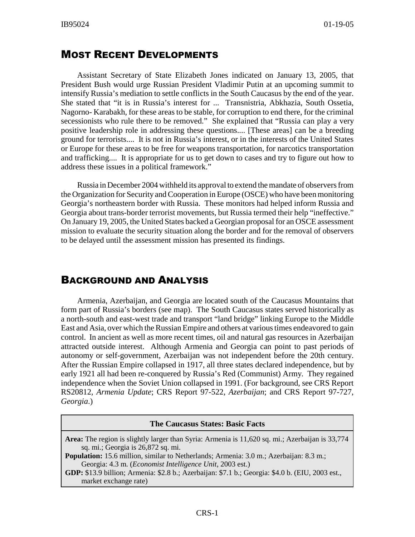## MOST RECENT DEVELOPMENTS

Assistant Secretary of State Elizabeth Jones indicated on January 13, 2005, that President Bush would urge Russian President Vladimir Putin at an upcoming summit to intensify Russia's mediation to settle conflicts in the South Caucasus by the end of the year. She stated that "it is in Russia's interest for ... Transnistria, Abkhazia, South Ossetia, Nagorno- Karabakh, for these areas to be stable, for corruption to end there, for the criminal secessionists who rule there to be removed." She explained that "Russia can play a very positive leadership role in addressing these questions.... [These areas] can be a breeding ground for terrorists.... It is not in Russia's interest, or in the interests of the United States or Europe for these areas to be free for weapons transportation, for narcotics transportation and trafficking.... It is appropriate for us to get down to cases and try to figure out how to address these issues in a political framework."

Russia in December 2004 withheld its approval to extend the mandate of observers from the Organization for Security and Cooperation in Europe (OSCE) who have been monitoring Georgia's northeastern border with Russia. These monitors had helped inform Russia and Georgia about trans-border terrorist movements, but Russia termed their help "ineffective." On January 19, 2005, the United States backed a Georgian proposal for an OSCE assessment mission to evaluate the security situation along the border and for the removal of observers to be delayed until the assessment mission has presented its findings.

## BACKGROUND AND ANALYSIS

Armenia, Azerbaijan, and Georgia are located south of the Caucasus Mountains that form part of Russia's borders (see map). The South Caucasus states served historically as a north-south and east-west trade and transport "land bridge" linking Europe to the Middle East and Asia, over which the Russian Empire and others at various times endeavored to gain control. In ancient as well as more recent times, oil and natural gas resources in Azerbaijan attracted outside interest. Although Armenia and Georgia can point to past periods of autonomy or self-government, Azerbaijan was not independent before the 20th century. After the Russian Empire collapsed in 1917, all three states declared independence, but by early 1921 all had been re-conquered by Russia's Red (Communist) Army. They regained independence when the Soviet Union collapsed in 1991. (For background, see CRS Report RS20812*, Armenia Update*; CRS Report 97-522, *Azerbaijan*; and CRS Report 97-727, *Georgia*.)

| <b>The Caucasus States: Basic Facts</b>                                                                                                                   |  |  |  |  |
|-----------------------------------------------------------------------------------------------------------------------------------------------------------|--|--|--|--|
| Area: The region is slightly larger than Syria: Armenia is 11,620 sq. mi.; Azerbaijan is 33,774<br>sq. mi.; Georgia is 26,872 sq. mi.                     |  |  |  |  |
| <b>Population:</b> 15.6 million, similar to Netherlands; Armenia: 3.0 m.; Azerbaijan: 8.3 m.;<br>Georgia: 4.3 m. (Economist Intelligence Unit, 2003 est.) |  |  |  |  |
| GDP: \$13.9 billion; Armenia: \$2.8 b.; Azerbaijan: \$7.1 b.; Georgia: \$4.0 b. (EIU, 2003 est.,<br>market exchange rate)                                 |  |  |  |  |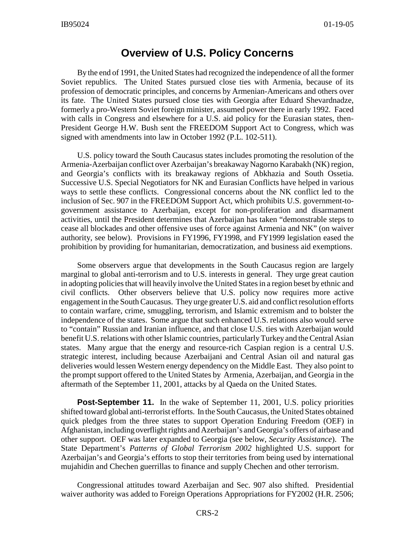## **Overview of U.S. Policy Concerns**

By the end of 1991, the United States had recognized the independence of all the former Soviet republics. The United States pursued close ties with Armenia, because of its profession of democratic principles, and concerns by Armenian-Americans and others over its fate. The United States pursued close ties with Georgia after Eduard Shevardnadze, formerly a pro-Western Soviet foreign minister, assumed power there in early 1992. Faced with calls in Congress and elsewhere for a U.S. aid policy for the Eurasian states, then-President George H.W. Bush sent the FREEDOM Support Act to Congress, which was signed with amendments into law in October 1992 (P.L. 102-511).

U.S. policy toward the South Caucasus states includes promoting the resolution of the Armenia-Azerbaijan conflict over Azerbaijan's breakaway Nagorno Karabakh (NK) region, and Georgia's conflicts with its breakaway regions of Abkhazia and South Ossetia. Successive U.S. Special Negotiators for NK and Eurasian Conflicts have helped in various ways to settle these conflicts. Congressional concerns about the NK conflict led to the inclusion of Sec. 907 in the FREEDOM Support Act, which prohibits U.S. government-togovernment assistance to Azerbaijan, except for non-proliferation and disarmament activities, until the President determines that Azerbaijan has taken "demonstrable steps to cease all blockades and other offensive uses of force against Armenia and NK" (on waiver authority, see below). Provisions in FY1996, FY1998, and FY1999 legislation eased the prohibition by providing for humanitarian, democratization, and business aid exemptions.

Some observers argue that developments in the South Caucasus region are largely marginal to global anti-terrorism and to U.S. interests in general. They urge great caution in adopting policies that will heavily involve the United States in a region beset by ethnic and civil conflicts. Other observers believe that U.S. policy now requires more active engagement in the South Caucasus. They urge greater U.S. aid and conflict resolution efforts to contain warfare, crime, smuggling, terrorism, and Islamic extremism and to bolster the independence of the states. Some argue that such enhanced U.S. relations also would serve to "contain" Russian and Iranian influence, and that close U.S. ties with Azerbaijan would benefit U.S. relations with other Islamic countries, particularly Turkey and the Central Asian states. Many argue that the energy and resource-rich Caspian region is a central U.S. strategic interest, including because Azerbaijani and Central Asian oil and natural gas deliveries would lessen Western energy dependency on the Middle East. They also point to the prompt support offered to the United States by Armenia, Azerbaijan, and Georgia in the aftermath of the September 11, 2001, attacks by al Qaeda on the United States.

**Post-September 11.** In the wake of September 11, 2001, U.S. policy priorities shifted toward global anti-terrorist efforts. In the South Caucasus, the United States obtained quick pledges from the three states to support Operation Enduring Freedom (OEF) in Afghanistan, including overflight rights and Azerbaijan's and Georgia's offers of airbase and other support. OEF was later expanded to Georgia (see below, *Security Assistance*). The State Department's *Patterns of Global Terrorism 2002* highlighted U.S. support for Azerbaijan's and Georgia's efforts to stop their territories from being used by international mujahidin and Chechen guerrillas to finance and supply Chechen and other terrorism.

Congressional attitudes toward Azerbaijan and Sec. 907 also shifted. Presidential waiver authority was added to Foreign Operations Appropriations for FY2002 (H.R. 2506;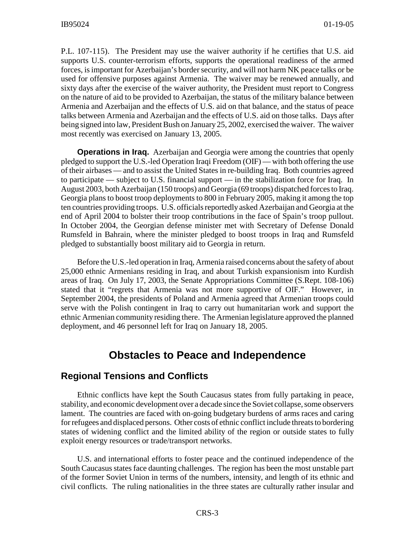P.L. 107-115). The President may use the waiver authority if he certifies that U.S. aid supports U.S. counter-terrorism efforts, supports the operational readiness of the armed forces, is important for Azerbaijan's border security, and will not harm NK peace talks or be used for offensive purposes against Armenia. The waiver may be renewed annually, and sixty days after the exercise of the waiver authority, the President must report to Congress on the nature of aid to be provided to Azerbaijan, the status of the military balance between Armenia and Azerbaijan and the effects of U.S. aid on that balance, and the status of peace talks between Armenia and Azerbaijan and the effects of U.S. aid on those talks. Days after being signed into law, President Bush on January 25, 2002, exercised the waiver. The waiver most recently was exercised on January 13, 2005.

**Operations in Iraq.** Azerbaijan and Georgia were among the countries that openly pledged to support the U.S.-led Operation Iraqi Freedom (OIF) — with both offering the use of their airbases — and to assist the United States in re-building Iraq. Both countries agreed to participate — subject to U.S. financial support — in the stabilization force for Iraq. In August 2003, both Azerbaijan (150 troops) and Georgia (69 troops) dispatched forces to Iraq. Georgia plans to boost troop deployments to 800 in February 2005, making it among the top ten countries providing troops. U.S. officials reportedly asked Azerbaijan and Georgia at the end of April 2004 to bolster their troop contributions in the face of Spain's troop pullout. In October 2004, the Georgian defense minister met with Secretary of Defense Donald Rumsfeld in Bahrain, where the minister pledged to boost troops in Iraq and Rumsfeld pledged to substantially boost military aid to Georgia in return.

Before the U.S.-led operation in Iraq, Armenia raised concerns about the safety of about 25,000 ethnic Armenians residing in Iraq, and about Turkish expansionism into Kurdish areas of Iraq. On July 17, 2003, the Senate Appropriations Committee (S.Rept. 108-106) stated that it "regrets that Armenia was not more supportive of OIF." However, in September 2004, the presidents of Poland and Armenia agreed that Armenian troops could serve with the Polish contingent in Iraq to carry out humanitarian work and support the ethnic Armenian community residing there. The Armenian legislature approved the planned deployment, and 46 personnel left for Iraq on January 18, 2005.

## **Obstacles to Peace and Independence**

#### **Regional Tensions and Conflicts**

Ethnic conflicts have kept the South Caucasus states from fully partaking in peace, stability, and economic development over a decade since the Soviet collapse, some observers lament. The countries are faced with on-going budgetary burdens of arms races and caring for refugees and displaced persons. Other costs of ethnic conflict include threats to bordering states of widening conflict and the limited ability of the region or outside states to fully exploit energy resources or trade/transport networks.

U.S. and international efforts to foster peace and the continued independence of the South Caucasus states face daunting challenges. The region has been the most unstable part of the former Soviet Union in terms of the numbers, intensity, and length of its ethnic and civil conflicts. The ruling nationalities in the three states are culturally rather insular and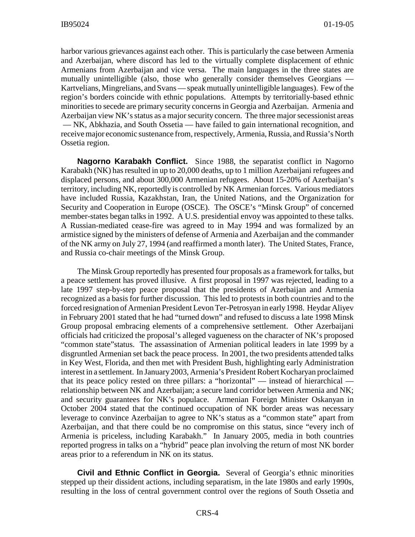harbor various grievances against each other. This is particularly the case between Armenia and Azerbaijan, where discord has led to the virtually complete displacement of ethnic Armenians from Azerbaijan and vice versa. The main languages in the three states are mutually unintelligible (also, those who generally consider themselves Georgians — Kartvelians, Mingrelians, and Svans — speak mutually unintelligible languages). Few of the region's borders coincide with ethnic populations. Attempts by territorially-based ethnic minorities to secede are primary security concerns in Georgia and Azerbaijan. Armenia and Azerbaijan view NK's status as a major security concern. The three major secessionist areas — NK, Abkhazia, and South Ossetia — have failed to gain international recognition, and receive major economic sustenance from, respectively, Armenia, Russia, and Russia's North Ossetia region.

**Nagorno Karabakh Conflict.** Since 1988, the separatist conflict in Nagorno Karabakh (NK) has resulted in up to 20,000 deaths, up to 1 million Azerbaijani refugees and displaced persons, and about 300,000 Armenian refugees. About 15-20% of Azerbaijan's territory, including NK, reportedly is controlled by NK Armenian forces. Various mediators have included Russia, Kazakhstan, Iran, the United Nations, and the Organization for Security and Cooperation in Europe (OSCE). The OSCE's "Minsk Group" of concerned member-states began talks in 1992. A U.S. presidential envoy was appointed to these talks. A Russian-mediated cease-fire was agreed to in May 1994 and was formalized by an armistice signed by the ministers of defense of Armenia and Azerbaijan and the commander of the NK army on July 27, 1994 (and reaffirmed a month later). The United States, France, and Russia co-chair meetings of the Minsk Group.

The Minsk Group reportedly has presented four proposals as a framework for talks, but a peace settlement has proved illusive. A first proposal in 1997 was rejected, leading to a late 1997 step-by-step peace proposal that the presidents of Azerbaijan and Armenia recognized as a basis for further discussion. This led to protests in both countries and to the forced resignation of Armenian President Levon Ter-Petrosyan in early 1998. Heydar Aliyev in February 2001 stated that he had "turned down" and refused to discuss a late 1998 Minsk Group proposal embracing elements of a comprehensive settlement. Other Azerbaijani officials had criticized the proposal's alleged vagueness on the character of NK's proposed "common state"status. The assassination of Armenian political leaders in late 1999 by a disgruntled Armenian set back the peace process. In 2001, the two presidents attended talks in Key West, Florida, and then met with President Bush, highlighting early Administration interest in a settlement. In January 2003, Armenia's President Robert Kocharyan proclaimed that its peace policy rested on three pillars: a "horizontal" — instead of hierarchical relationship between NK and Azerbaijan; a secure land corridor between Armenia and NK; and security guarantees for NK's populace. Armenian Foreign Minister Oskanyan in October 2004 stated that the continued occupation of NK border areas was necessary leverage to convince Azerbaijan to agree to NK's status as a "common state" apart from Azerbaijan, and that there could be no compromise on this status, since "every inch of Armenia is priceless, including Karabakh." In January 2005, media in both countries reported progress in talks on a "hybrid" peace plan involving the return of most NK border areas prior to a referendum in NK on its status.

**Civil and Ethnic Conflict in Georgia.** Several of Georgia's ethnic minorities stepped up their dissident actions, including separatism, in the late 1980s and early 1990s, resulting in the loss of central government control over the regions of South Ossetia and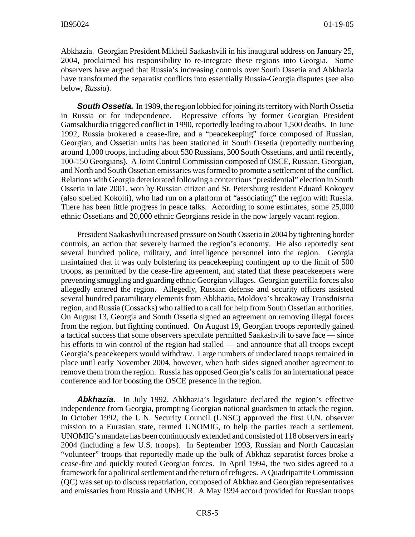Abkhazia. Georgian President Mikheil Saakashvili in his inaugural address on January 25, 2004, proclaimed his responsibility to re-integrate these regions into Georgia. Some observers have argued that Russia's increasing controls over South Ossetia and Abkhazia have transformed the separatist conflicts into essentially Russia-Georgia disputes (see also below, *Russia*).

**South Ossetia.** In 1989, the region lobbied for joining its territory with North Ossetia in Russia or for independence. Repressive efforts by former Georgian President Gamsakhurdia triggered conflict in 1990, reportedly leading to about 1,500 deaths. In June 1992, Russia brokered a cease-fire, and a "peacekeeping" force composed of Russian, Georgian, and Ossetian units has been stationed in South Ossetia (reportedly numbering around 1,000 troops, including about 530 Russians, 300 South Ossetians, and until recently, 100-150 Georgians). A Joint Control Commission composed of OSCE, Russian, Georgian, and North and South Ossetian emissaries was formed to promote a settlement of the conflict. Relations with Georgia deteriorated following a contentious "presidential" election in South Ossetia in late 2001, won by Russian citizen and St. Petersburg resident Eduard Kokoyev (also spelled Kokoiti), who had run on a platform of "associating" the region with Russia. There has been little progress in peace talks. According to some estimates, some 25,000 ethnic Ossetians and 20,000 ethnic Georgians reside in the now largely vacant region.

President Saakashvili increased pressure on South Ossetia in 2004 by tightening border controls, an action that severely harmed the region's economy. He also reportedly sent several hundred police, military, and intelligence personnel into the region. Georgia maintained that it was only bolstering its peacekeeping contingent up to the limit of 500 troops, as permitted by the cease-fire agreement, and stated that these peacekeepers were preventing smuggling and guarding ethnic Georgian villages. Georgian guerrilla forces also allegedly entered the region. Allegedly, Russian defense and security officers assisted several hundred paramilitary elements from Abkhazia, Moldova's breakaway Transdnistria region, and Russia (Cossacks) who rallied to a call for help from South Ossetian authorities. On August 13, Georgia and South Ossetia signed an agreement on removing illegal forces from the region, but fighting continued. On August 19, Georgian troops reportedly gained a tactical success that some observers speculate permitted Saakashvili to save face — since his efforts to win control of the region had stalled — and announce that all troops except Georgia's peacekeepers would withdraw. Large numbers of undeclared troops remained in place until early November 2004, however, when both sides signed another agreement to remove them from the region. Russia has opposed Georgia's calls for an international peace conference and for boosting the OSCE presence in the region.

*Abkhazia.* In July 1992, Abkhazia's legislature declared the region's effective independence from Georgia, prompting Georgian national guardsmen to attack the region. In October 1992, the U.N. Security Council (UNSC) approved the first U.N. observer mission to a Eurasian state, termed UNOMIG, to help the parties reach a settlement. UNOMIG's mandate has been continuously extended and consisted of 118 observers in early 2004 (including a few U.S. troops). In September 1993, Russian and North Caucasian "volunteer" troops that reportedly made up the bulk of Abkhaz separatist forces broke a cease-fire and quickly routed Georgian forces. In April 1994, the two sides agreed to a framework for a political settlement and the return of refugees. A Quadripartite Commission (QC) was set up to discuss repatriation, composed of Abkhaz and Georgian representatives and emissaries from Russia and UNHCR. A May 1994 accord provided for Russian troops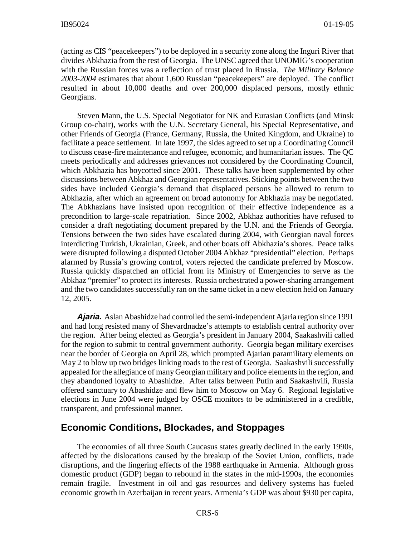(acting as CIS "peacekeepers") to be deployed in a security zone along the Inguri River that divides Abkhazia from the rest of Georgia. The UNSC agreed that UNOMIG's cooperation with the Russian forces was a reflection of trust placed in Russia. *The Military Balance 2003-2004* estimates that about 1,600 Russian "peacekeepers" are deployed. The conflict resulted in about 10,000 deaths and over 200,000 displaced persons, mostly ethnic Georgians.

Steven Mann, the U.S. Special Negotiator for NK and Eurasian Conflicts (and Minsk Group co-chair), works with the U.N. Secretary General, his Special Representative, and other Friends of Georgia (France, Germany, Russia, the United Kingdom, and Ukraine) to facilitate a peace settlement. In late 1997, the sides agreed to set up a Coordinating Council to discuss cease-fire maintenance and refugee, economic, and humanitarian issues. The QC meets periodically and addresses grievances not considered by the Coordinating Council, which Abkhazia has boycotted since 2001. These talks have been supplemented by other discussions between Abkhaz and Georgian representatives. Sticking points between the two sides have included Georgia's demand that displaced persons be allowed to return to Abkhazia, after which an agreement on broad autonomy for Abkhazia may be negotiated. The Abkhazians have insisted upon recognition of their effective independence as a precondition to large-scale repatriation. Since 2002, Abkhaz authorities have refused to consider a draft negotiating document prepared by the U.N. and the Friends of Georgia. Tensions between the two sides have escalated during 2004, with Georgian naval forces interdicting Turkish, Ukrainian, Greek, and other boats off Abkhazia's shores. Peace talks were disrupted following a disputed October 2004 Abkhaz "presidential" election. Perhaps alarmed by Russia's growing control, voters rejected the candidate preferred by Moscow. Russia quickly dispatched an official from its Ministry of Emergencies to serve as the Abkhaz "premier" to protect its interests. Russia orchestrated a power-sharing arrangement and the two candidates successfully ran on the same ticket in a new election held on January 12, 2005.

*Ajaria.* Aslan Abashidze had controlled the semi-independent Ajaria region since 1991 and had long resisted many of Shevardnadze's attempts to establish central authority over the region. After being elected as Georgia's president in January 2004, Saakashvili called for the region to submit to central government authority. Georgia began military exercises near the border of Georgia on April 28, which prompted Ajarian paramilitary elements on May 2 to blow up two bridges linking roads to the rest of Georgia. Saakashvili successfully appealed for the allegiance of many Georgian military and police elements in the region, and they abandoned loyalty to Abashidze. After talks between Putin and Saakashvili, Russia offered sanctuary to Abashidze and flew him to Moscow on May 6. Regional legislative elections in June 2004 were judged by OSCE monitors to be administered in a credible, transparent, and professional manner.

#### **Economic Conditions, Blockades, and Stoppages**

The economies of all three South Caucasus states greatly declined in the early 1990s, affected by the dislocations caused by the breakup of the Soviet Union, conflicts, trade disruptions, and the lingering effects of the 1988 earthquake in Armenia. Although gross domestic product (GDP) began to rebound in the states in the mid-1990s, the economies remain fragile. Investment in oil and gas resources and delivery systems has fueled economic growth in Azerbaijan in recent years. Armenia's GDP was about \$930 per capita,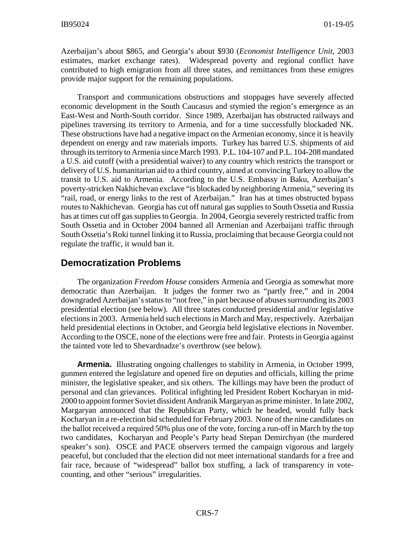Azerbaijan's about \$865, and Georgia's about \$930 (*Economist Intelligence Unit,* 2003 estimates, market exchange rates). Widespread poverty and regional conflict have contributed to high emigration from all three states, and remittances from these emigres provide major support for the remaining populations.

Transport and communications obstructions and stoppages have severely affected economic development in the South Caucasus and stymied the region's emergence as an East-West and North-South corridor. Since 1989, Azerbaijan has obstructed railways and pipelines traversing its territory to Armenia, and for a time successfully blockaded NK. These obstructions have had a negative impact on the Armenian economy, since it is heavily dependent on energy and raw materials imports. Turkey has barred U.S. shipments of aid through its territory to Armenia since March 1993. P.L. 104-107 and P.L. 104-208 mandated a U.S. aid cutoff (with a presidential waiver) to any country which restricts the transport or delivery of U.S. humanitarian aid to a third country, aimed at convincing Turkey to allow the transit to U.S. aid to Armenia. According to the U.S. Embassy in Baku, Azerbaijan's poverty-stricken Nakhichevan exclave "is blockaded by neighboring Armenia," severing its "rail, road, or energy links to the rest of Azerbaijan." Iran has at times obstructed bypass routes to Nakhichevan. Georgia has cut off natural gas supplies to South Ossetia and Russia has at times cut off gas supplies to Georgia. In 2004, Georgia severely restricted traffic from South Ossetia and in October 2004 banned all Armenian and Azerbaijani traffic through South Ossetia's Roki tunnel linking it to Russia, proclaiming that because Georgia could not regulate the traffic, it would ban it.

#### **Democratization Problems**

The organization *Freedom House* considers Armenia and Georgia as somewhat more democratic than Azerbaijan. It judges the former two as "partly free," and in 2004 downgraded Azerbaijan's status to "not free," in part because of abuses surrounding its 2003 presidential election (see below). All three states conducted presidential and/or legislative elections in 2003. Armenia held such elections in March and May, respectively. Azerbaijan held presidential elections in October, and Georgia held legislative elections in November. According to the OSCE, none of the elections were free and fair. Protests in Georgia against the tainted vote led to Shevardnadze's overthrow (see below).

**Armenia.** Illustrating ongoing challenges to stability in Armenia, in October 1999, gunmen entered the legislature and opened fire on deputies and officials, killing the prime minister, the legislative speaker, and six others. The killings may have been the product of personal and clan grievances. Political infighting led President Robert Kocharyan in mid-2000 to appoint former Soviet dissident Andranik Margaryan as prime minister. In late 2002, Margaryan announced that the Republican Party, which he headed, would fully back Kocharyan in a re-election bid scheduled for February 2003. None of the nine candidates on the ballot received a required 50% plus one of the vote, forcing a run-off in March by the top two candidates, Kocharyan and People's Party head Stepan Demirchyan (the murdered speaker's son). OSCE and PACE observers termed the campaign vigorous and largely peaceful, but concluded that the election did not meet international standards for a free and fair race, because of "widespread" ballot box stuffing, a lack of transparency in votecounting, and other "serious" irregularities.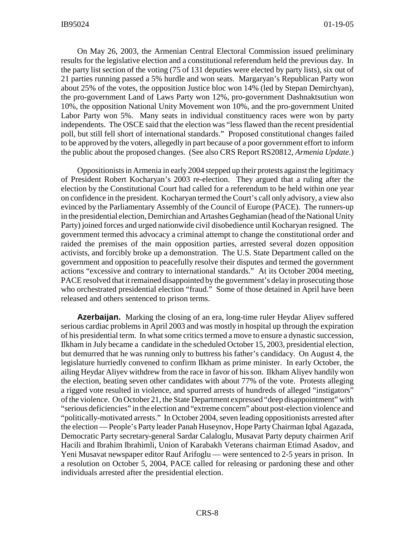On May 26, 2003, the Armenian Central Electoral Commission issued preliminary results for the legislative election and a constitutional referendum held the previous day. In the party list section of the voting (75 of 131 deputies were elected by party lists), six out of 21 parties running passed a 5% hurdle and won seats. Margaryan's Republican Party won about 25% of the votes, the opposition Justice bloc won 14% (led by Stepan Demirchyan), the pro-government Land of Laws Party won 12%, pro-government Dashnaktsutiun won 10%, the opposition National Unity Movement won 10%, and the pro-government United Labor Party won 5%. Many seats in individual constituency races were won by party independents. The OSCE said that the election was "less flawed than the recent presidential poll, but still fell short of international standards." Proposed constitutional changes failed to be approved by the voters, allegedly in part because of a poor government effort to inform the public about the proposed changes. (See also CRS Report RS20812, *Armenia Update.*)

Oppositionists in Armenia in early 2004 stepped up their protests against the legitimacy of President Robert Kocharyan's 2003 re-election. They argued that a ruling after the election by the Constitutional Court had called for a referendum to be held within one year on confidence in the president. Kocharyan termed the Court's call only advisory, a view also evinced by the Parliamentary Assembly of the Council of Europe (PACE). The runners-up in the presidential election, Demirchian and Artashes Geghamian (head of the National Unity Party) joined forces and urged nationwide civil disobedience until Kocharyan resigned. The government termed this advocacy a criminal attempt to change the constitutional order and raided the premises of the main opposition parties, arrested several dozen opposition activists, and forcibly broke up a demonstration. The U.S. State Department called on the government and opposition to peacefully resolve their disputes and termed the government actions "excessive and contrary to international standards." At its October 2004 meeting, PACE resolved that it remained disappointed by the government's delay in prosecuting those who orchestrated presidential election "fraud." Some of those detained in April have been released and others sentenced to prison terms.

**Azerbaijan.** Marking the closing of an era, long-time ruler Heydar Aliyev suffered serious cardiac problems in April 2003 and was mostly in hospital up through the expiration of his presidential term. In what some critics termed a move to ensure a dynastic succession, Ilkham in July became a candidate in the scheduled October 15, 2003, presidential election, but demurred that he was running only to buttress his father's candidacy. On August 4, the legislature hurriedly convened to confirm Ilkham as prime minister. In early October, the ailing Heydar Aliyev withdrew from the race in favor of his son. Ilkham Aliyev handily won the election, beating seven other candidates with about 77% of the vote. Protests alleging a rigged vote resulted in violence, and spurred arrests of hundreds of alleged "instigators" of the violence. On October 21, the State Department expressed "deep disappointment" with "serious deficiencies" in the election and "extreme concern" about post-election violence and "politically-motivated arrests." In October 2004, seven leading oppositionists arrested after the election — People's Party leader Panah Huseynov, Hope Party Chairman Iqbal Agazada, Democratic Party secretary-general Sardar Calaloglu, Musavat Party deputy chairmen Arif Hacili and Ibrahim Ibrahimli, Union of Karabakh Veterans chairman Etimad Asadov, and Yeni Musavat newspaper editor Rauf Arifoglu — were sentenced to 2-5 years in prison. In a resolution on October 5, 2004, PACE called for releasing or pardoning these and other individuals arrested after the presidential election.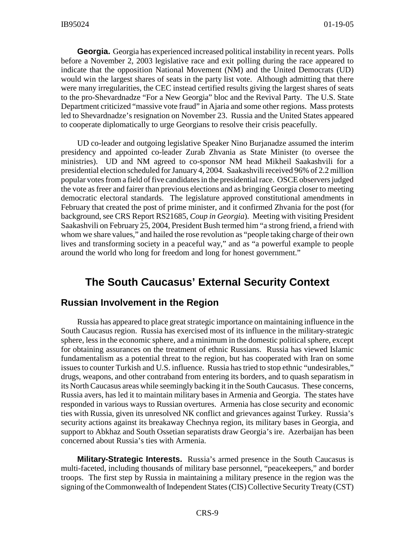**Georgia.** Georgia has experienced increased political instability in recent years. Polls before a November 2, 2003 legislative race and exit polling during the race appeared to indicate that the opposition National Movement (NM) and the United Democrats (UD) would win the largest shares of seats in the party list vote. Although admitting that there were many irregularities, the CEC instead certified results giving the largest shares of seats to the pro-Shevardnadze "For a New Georgia" bloc and the Revival Party. The U.S. State Department criticized "massive vote fraud" in Ajaria and some other regions. Mass protests led to Shevardnadze's resignation on November 23. Russia and the United States appeared to cooperate diplomatically to urge Georgians to resolve their crisis peacefully.

UD co-leader and outgoing legislative Speaker Nino Burjanadze assumed the interim presidency and appointed co-leader Zurab Zhvania as State Minister (to oversee the ministries). UD and NM agreed to co-sponsor NM head Mikheil Saakashvili for a presidential election scheduled for January 4, 2004. Saakashvili received 96% of 2.2 million popular votes from a field of five candidates in the presidential race. OSCE observers judged the vote as freer and fairer than previous elections and as bringing Georgia closer to meeting democratic electoral standards. The legislature approved constitutional amendments in February that created the post of prime minister, and it confirmed Zhvania for the post (for background, see CRS Report RS21685, *Coup in Georgia*). Meeting with visiting President Saakashvili on February 25, 2004, President Bush termed him "a strong friend, a friend with whom we share values," and hailed the rose revolution as "people taking charge of their own lives and transforming society in a peaceful way," and as "a powerful example to people around the world who long for freedom and long for honest government."

## **The South Caucasus' External Security Context**

#### **Russian Involvement in the Region**

Russia has appeared to place great strategic importance on maintaining influence in the South Caucasus region. Russia has exercised most of its influence in the military-strategic sphere, less in the economic sphere, and a minimum in the domestic political sphere, except for obtaining assurances on the treatment of ethnic Russians. Russia has viewed Islamic fundamentalism as a potential threat to the region, but has cooperated with Iran on some issues to counter Turkish and U.S. influence. Russia has tried to stop ethnic "undesirables," drugs, weapons, and other contraband from entering its borders, and to quash separatism in its North Caucasus areas while seemingly backing it in the South Caucasus. These concerns, Russia avers, has led it to maintain military bases in Armenia and Georgia. The states have responded in various ways to Russian overtures. Armenia has close security and economic ties with Russia, given its unresolved NK conflict and grievances against Turkey. Russia's security actions against its breakaway Chechnya region, its military bases in Georgia, and support to Abkhaz and South Ossetian separatists draw Georgia's ire. Azerbaijan has been concerned about Russia's ties with Armenia.

**Military-Strategic Interests.** Russia's armed presence in the South Caucasus is multi-faceted, including thousands of military base personnel, "peacekeepers," and border troops. The first step by Russia in maintaining a military presence in the region was the signing of the Commonwealth of Independent States (CIS) Collective Security Treaty (CST)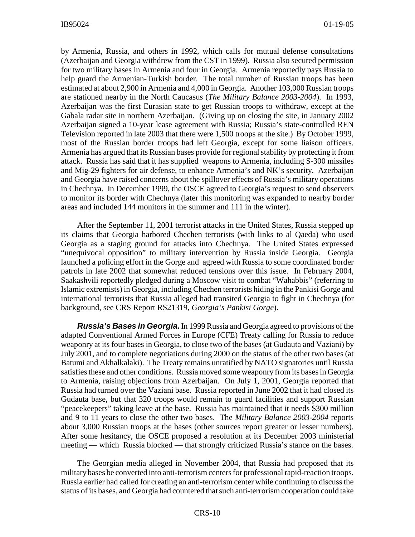by Armenia, Russia, and others in 1992, which calls for mutual defense consultations (Azerbaijan and Georgia withdrew from the CST in 1999). Russia also secured permission for two military bases in Armenia and four in Georgia. Armenia reportedly pays Russia to help guard the Armenian-Turkish border. The total number of Russian troops has been estimated at about 2,900 in Armenia and 4,000 in Georgia. Another 103,000 Russian troops are stationed nearby in the North Caucasus (*The Military Balance 2003-2004*). In 1993, Azerbaijan was the first Eurasian state to get Russian troops to withdraw, except at the Gabala radar site in northern Azerbaijan. (Giving up on closing the site, in January 2002 Azerbaijan signed a 10-year lease agreement with Russia; Russia's state-controlled REN Television reported in late 2003 that there were 1,500 troops at the site.) By October 1999, most of the Russian border troops had left Georgia, except for some liaison officers. Armenia has argued that its Russian bases provide for regional stability by protecting it from attack. Russia has said that it has supplied weapons to Armenia, including S-300 missiles and Mig-29 fighters for air defense, to enhance Armenia's and NK's security. Azerbaijan and Georgia have raised concerns about the spillover effects of Russia's military operations in Chechnya. In December 1999, the OSCE agreed to Georgia's request to send observers to monitor its border with Chechnya (later this monitoring was expanded to nearby border areas and included 144 monitors in the summer and 111 in the winter).

After the September 11, 2001 terrorist attacks in the United States, Russia stepped up its claims that Georgia harbored Chechen terrorists (with links to al Qaeda) who used Georgia as a staging ground for attacks into Chechnya. The United States expressed "unequivocal opposition" to military intervention by Russia inside Georgia. Georgia launched a policing effort in the Gorge and agreed with Russia to some coordinated border patrols in late 2002 that somewhat reduced tensions over this issue. In February 2004, Saakashvili reportedly pledged during a Moscow visit to combat "Wahabbis" (referring to Islamic extremists) in Georgia, including Chechen terrorists hiding in the Pankisi Gorge and international terrorists that Russia alleged had transited Georgia to fight in Chechnya (for background, see CRS Report RS21319, *Georgia's Pankisi Gorge*).

*Russia's Bases in Georgia.* In 1999 Russia and Georgia agreed to provisions of the adapted Conventional Armed Forces in Europe (CFE) Treaty calling for Russia to reduce weaponry at its four bases in Georgia, to close two of the bases (at Gudauta and Vaziani) by July 2001, and to complete negotiations during 2000 on the status of the other two bases (at Batumi and Akhalkalaki). The Treaty remains unratified by NATO signatories until Russia satisfies these and other conditions. Russia moved some weaponry from its bases in Georgia to Armenia, raising objections from Azerbaijan. On July 1, 2001, Georgia reported that Russia had turned over the Vaziani base. Russia reported in June 2002 that it had closed its Gudauta base, but that 320 troops would remain to guard facilities and support Russian "peacekeepers" taking leave at the base. Russia has maintained that it needs \$300 million and 9 to 11 years to close the other two bases. The *Military Balance 2003-2004* reports about 3,000 Russian troops at the bases (other sources report greater or lesser numbers). After some hesitancy, the OSCE proposed a resolution at its December 2003 ministerial meeting — which Russia blocked — that strongly criticized Russia's stance on the bases.

The Georgian media alleged in November 2004, that Russia had proposed that its military bases be converted into anti-terrorism centers for professional rapid-reaction troops. Russia earlier had called for creating an anti-terrorism center while continuing to discuss the status of its bases, and Georgia had countered that such anti-terrorism cooperation could take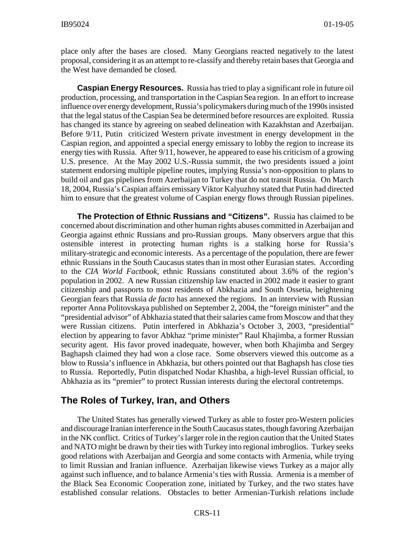place only after the bases are closed. Many Georgians reacted negatively to the latest proposal, considering it as an attempt to re-classify and thereby retain bases that Georgia and the West have demanded be closed.

**Caspian Energy Resources.** Russia has tried to play a significant role in future oil production, processing, and transportation in the Caspian Sea region. In an effort to increase influence over energy development, Russia's policymakers during much of the 1990s insisted that the legal status of the Caspian Sea be determined before resources are exploited. Russia has changed its stance by agreeing on seabed delineation with Kazakhstan and Azerbaijan. Before 9/11, Putin criticized Western private investment in energy development in the Caspian region, and appointed a special energy emissary to lobby the region to increase its energy ties with Russia. After 9/11, however, he appeared to ease his criticism of a growing U.S. presence. At the May 2002 U.S.-Russia summit, the two presidents issued a joint statement endorsing multiple pipeline routes, implying Russia's non-opposition to plans to build oil and gas pipelines from Azerbaijan to Turkey that do not transit Russia. On March 18, 2004, Russia's Caspian affairs emissary Viktor Kalyuzhny stated that Putin had directed him to ensure that the greatest volume of Caspian energy flows through Russian pipelines.

**The Protection of Ethnic Russians and "Citizens".** Russia has claimed to be concerned about discrimination and other human rights abuses committed in Azerbaijan and Georgia against ethnic Russians and pro-Russian groups. Many observers argue that this ostensible interest in protecting human rights is a stalking horse for Russia's military-strategic and economic interests. As a percentage of the population, there are fewer ethnic Russians in the South Caucasus states than in most other Eurasian states. According to the *CIA World Factbook*, ethnic Russians constituted about 3.6% of the region's population in 2002. A new Russian citizenship law enacted in 2002 made it easier to grant citizenship and passports to most residents of Abkhazia and South Ossetia, heightening Georgian fears that Russia *de facto* has annexed the regions. In an interview with Russian reporter Anna Politovskaya published on September 2, 2004, the "foreign minister" and the "presidential advisor" of Abkhazia stated that their salaries came from Moscow and that they were Russian citizens. Putin interfered in Abkhazia's October 3, 2003, "presidential" election by appearing to favor Abkhaz "prime minister" Raul Khajimba, a former Russian security agent. His favor proved inadequate, however, when both Khajimba and Sergey Baghapsh claimed they had won a close race. Some observers viewed this outcome as a blow to Russia's influence in Abkhazia, but others pointed out that Baghapsh has close ties to Russia. Reportedly, Putin dispatched Nodar Khashba, a high-level Russian official, to Abkhazia as its "premier" to protect Russian interests during the electoral contretemps.

#### **The Roles of Turkey, Iran, and Others**

The United States has generally viewed Turkey as able to foster pro-Western policies and discourage Iranian interference in the South Caucasus states, though favoring Azerbaijan in the NK conflict. Critics of Turkey's larger role in the region caution that the United States and NATO might be drawn by their ties with Turkey into regional imbroglios. Turkey seeks good relations with Azerbaijan and Georgia and some contacts with Armenia, while trying to limit Russian and Iranian influence. Azerbaijan likewise views Turkey as a major ally against such influence, and to balance Armenia's ties with Russia. Armenia is a member of the Black Sea Economic Cooperation zone, initiated by Turkey, and the two states have established consular relations. Obstacles to better Armenian-Turkish relations include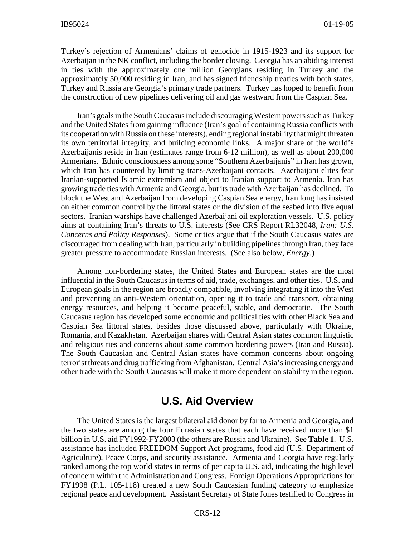Turkey's rejection of Armenians' claims of genocide in 1915-1923 and its support for Azerbaijan in the NK conflict, including the border closing. Georgia has an abiding interest in ties with the approximately one million Georgians residing in Turkey and the approximately 50,000 residing in Iran, and has signed friendship treaties with both states. Turkey and Russia are Georgia's primary trade partners. Turkey has hoped to benefit from the construction of new pipelines delivering oil and gas westward from the Caspian Sea.

Iran's goals in the South Caucasus include discouraging Western powers such as Turkey and the United States from gaining influence (Iran's goal of containing Russia conflicts with its cooperation with Russia on these interests), ending regional instability that might threaten its own territorial integrity, and building economic links. A major share of the world's Azerbaijanis reside in Iran (estimates range from 6-12 million), as well as about 200,000 Armenians. Ethnic consciousness among some "Southern Azerbaijanis" in Iran has grown, which Iran has countered by limiting trans-Azerbaijani contacts. Azerbaijani elites fear Iranian-supported Islamic extremism and object to Iranian support to Armenia. Iran has growing trade ties with Armenia and Georgia, but its trade with Azerbaijan has declined. To block the West and Azerbaijan from developing Caspian Sea energy, Iran long has insisted on either common control by the littoral states or the division of the seabed into five equal sectors. Iranian warships have challenged Azerbaijani oil exploration vessels. U.S. policy aims at containing Iran's threats to U.S. interests (See CRS Report RL32048, *Iran: U.S. Concerns and Policy Responses*). Some critics argue that if the South Caucasus states are discouraged from dealing with Iran, particularly in building pipelines through Iran, they face greater pressure to accommodate Russian interests. (See also below, *Energy*.)

Among non-bordering states, the United States and European states are the most influential in the South Caucasus in terms of aid, trade, exchanges, and other ties. U.S. and European goals in the region are broadly compatible, involving integrating it into the West and preventing an anti-Western orientation, opening it to trade and transport, obtaining energy resources, and helping it become peaceful, stable, and democratic. The South Caucasus region has developed some economic and political ties with other Black Sea and Caspian Sea littoral states, besides those discussed above, particularly with Ukraine, Romania, and Kazakhstan. Azerbaijan shares with Central Asian states common linguistic and religious ties and concerns about some common bordering powers (Iran and Russia). The South Caucasian and Central Asian states have common concerns about ongoing terrorist threats and drug trafficking from Afghanistan. Central Asia's increasing energy and other trade with the South Caucasus will make it more dependent on stability in the region.

## **U.S. Aid Overview**

The United States is the largest bilateral aid donor by far to Armenia and Georgia, and the two states are among the four Eurasian states that each have received more than \$1 billion in U.S. aid FY1992-FY2003 (the others are Russia and Ukraine). See **Table 1**. U.S. assistance has included FREEDOM Support Act programs, food aid (U.S. Department of Agriculture), Peace Corps, and security assistance. Armenia and Georgia have regularly ranked among the top world states in terms of per capita U.S. aid, indicating the high level of concern within the Administration and Congress. Foreign Operations Appropriations for FY1998 (P.L. 105-118) created a new South Caucasian funding category to emphasize regional peace and development. Assistant Secretary of State Jones testified to Congress in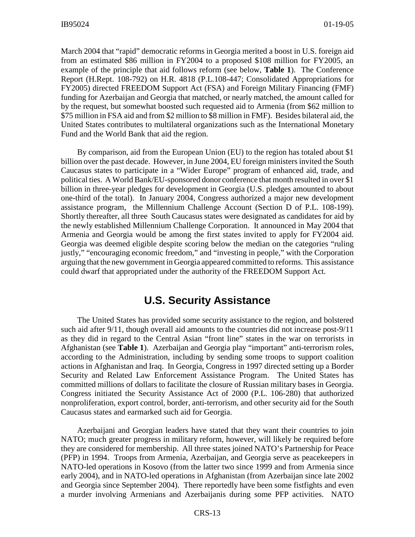March 2004 that "rapid" democratic reforms in Georgia merited a boost in U.S. foreign aid from an estimated \$86 million in FY2004 to a proposed \$108 million for FY2005, an example of the principle that aid follows reform (see below, **Table 1**). The Conference Report (H.Rept. 108-792) on H.R. 4818 (P.L.108-447; Consolidated Appropriations for FY2005) directed FREEDOM Support Act (FSA) and Foreign Military Financing (FMF) funding for Azerbaijan and Georgia that matched, or nearly matched, the amount called for by the request, but somewhat boosted such requested aid to Armenia (from \$62 million to \$75 million in FSA aid and from \$2 million to \$8 million in FMF). Besides bilateral aid, the United States contributes to multilateral organizations such as the International Monetary Fund and the World Bank that aid the region.

By comparison, aid from the European Union (EU) to the region has totaled about \$1 billion over the past decade. However, in June 2004, EU foreign ministers invited the South Caucasus states to participate in a "Wider Europe" program of enhanced aid, trade, and political ties. A World Bank/EU-sponsored donor conference that month resulted in over \$1 billion in three-year pledges for development in Georgia (U.S. pledges amounted to about one-third of the total). In January 2004, Congress authorized a major new development assistance program, the Millennium Challenge Account (Section D of P.L. 108-199). Shortly thereafter, all three South Caucasus states were designated as candidates for aid by the newly established Millennium Challenge Corporation. It announced in May 2004 that Armenia and Georgia would be among the first states invited to apply for FY2004 aid. Georgia was deemed eligible despite scoring below the median on the categories "ruling justly," "encouraging economic freedom," and "investing in people," with the Corporation arguing that the new government in Georgia appeared committed to reforms. This assistance could dwarf that appropriated under the authority of the FREEDOM Support Act.

## **U.S. Security Assistance**

The United States has provided some security assistance to the region, and bolstered such aid after 9/11, though overall aid amounts to the countries did not increase post-9/11 as they did in regard to the Central Asian "front line" states in the war on terrorists in Afghanistan (see **Table 1**). Azerbaijan and Georgia play "important" anti-terrorism roles, according to the Administration, including by sending some troops to support coalition actions in Afghanistan and Iraq. In Georgia, Congress in 1997 directed setting up a Border Security and Related Law Enforcement Assistance Program. The United States has committed millions of dollars to facilitate the closure of Russian military bases in Georgia. Congress initiated the Security Assistance Act of 2000 (P.L. 106-280) that authorized nonproliferation, export control, border, anti-terrorism, and other security aid for the South Caucasus states and earmarked such aid for Georgia.

Azerbaijani and Georgian leaders have stated that they want their countries to join NATO; much greater progress in military reform, however, will likely be required before they are considered for membership. All three states joined NATO's Partnership for Peace (PFP) in 1994. Troops from Armenia, Azerbaijan, and Georgia serve as peacekeepers in NATO-led operations in Kosovo (from the latter two since 1999 and from Armenia since early 2004), and in NATO-led operations in Afghanistan (from Azerbaijan since late 2002 and Georgia since September 2004). There reportedly have been some fistfights and even a murder involving Armenians and Azerbaijanis during some PFP activities. NATO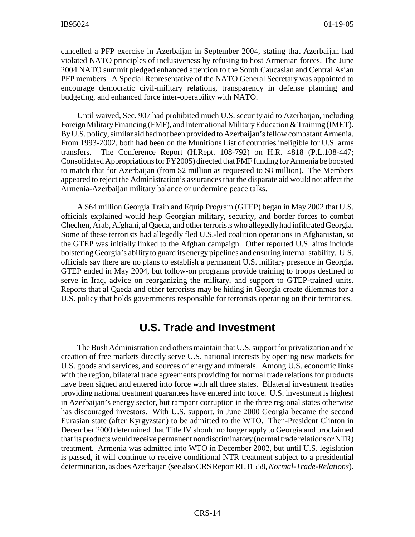cancelled a PFP exercise in Azerbaijan in September 2004, stating that Azerbaijan had violated NATO principles of inclusiveness by refusing to host Armenian forces. The June 2004 NATO summit pledged enhanced attention to the South Caucasian and Central Asian PFP members. A Special Representative of the NATO General Secretary was appointed to encourage democratic civil-military relations, transparency in defense planning and budgeting, and enhanced force inter-operability with NATO.

Until waived, Sec. 907 had prohibited much U.S. security aid to Azerbaijan, including Foreign Military Financing (FMF), and International Military Education & Training (IMET). By U.S. policy, similar aid had not been provided to Azerbaijan's fellow combatant Armenia. From 1993-2002, both had been on the Munitions List of countries ineligible for U.S. arms transfers. The Conference Report (H.Rept. 108-792) on H.R. 4818 (P.L.108-447; Consolidated Appropriations for FY2005) directed that FMF funding for Armenia be boosted to match that for Azerbaijan (from \$2 million as requested to \$8 million). The Members appeared to reject the Administration's assurances that the disparate aid would not affect the Armenia-Azerbaijan military balance or undermine peace talks.

A \$64 million Georgia Train and Equip Program (GTEP) began in May 2002 that U.S. officials explained would help Georgian military, security, and border forces to combat Chechen, Arab, Afghani, al Qaeda, and other terrorists who allegedly had infiltrated Georgia. Some of these terrorists had allegedly fled U.S.-led coalition operations in Afghanistan, so the GTEP was initially linked to the Afghan campaign. Other reported U.S. aims include bolstering Georgia's ability to guard its energy pipelines and ensuring internal stability. U.S. officials say there are no plans to establish a permanent U.S. military presence in Georgia. GTEP ended in May 2004, but follow-on programs provide training to troops destined to serve in Iraq, advice on reorganizing the military, and support to GTEP-trained units. Reports that al Qaeda and other terrorists may be hiding in Georgia create dilemmas for a U.S. policy that holds governments responsible for terrorists operating on their territories.

## **U.S. Trade and Investment**

The Bush Administration and others maintain that U.S. support for privatization and the creation of free markets directly serve U.S. national interests by opening new markets for U.S. goods and services, and sources of energy and minerals. Among U.S. economic links with the region, bilateral trade agreements providing for normal trade relations for products have been signed and entered into force with all three states. Bilateral investment treaties providing national treatment guarantees have entered into force. U.S. investment is highest in Azerbaijan's energy sector, but rampant corruption in the three regional states otherwise has discouraged investors. With U.S. support, in June 2000 Georgia became the second Eurasian state (after Kyrgyzstan) to be admitted to the WTO. Then-President Clinton in December 2000 determined that Title IV should no longer apply to Georgia and proclaimed that its products would receive permanent nondiscriminatory (normal trade relations or NTR) treatment. Armenia was admitted into WTO in December 2002, but until U.S. legislation is passed, it will continue to receive conditional NTR treatment subject to a presidential determination, as does Azerbaijan (see also CRS Report RL31558, *Normal-Trade-Relations*).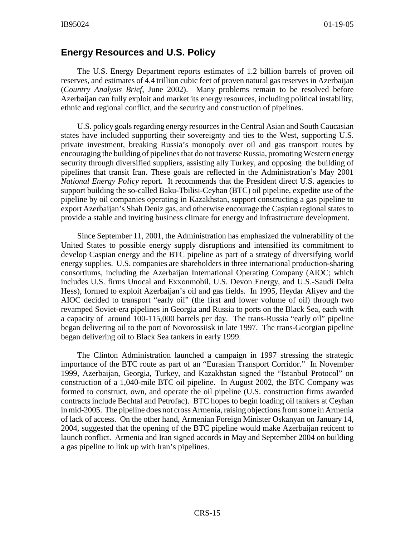#### **Energy Resources and U.S. Policy**

The U.S. Energy Department reports estimates of 1.2 billion barrels of proven oil reserves, and estimates of 4.4 trillion cubic feet of proven natural gas reserves in Azerbaijan (*Country Analysis Brief*, June 2002). Many problems remain to be resolved before Azerbaijan can fully exploit and market its energy resources, including political instability, ethnic and regional conflict, and the security and construction of pipelines.

U.S. policy goals regarding energy resources in the Central Asian and South Caucasian states have included supporting their sovereignty and ties to the West, supporting U.S. private investment, breaking Russia's monopoly over oil and gas transport routes by encouraging the building of pipelines that do not traverse Russia, promoting Western energy security through diversified suppliers, assisting ally Turkey, and opposing the building of pipelines that transit Iran. These goals are reflected in the Administration's May 2001 *National Energy Policy* report. It recommends that the President direct U.S. agencies to support building the so-called Baku-Tbilisi-Ceyhan (BTC) oil pipeline, expedite use of the pipeline by oil companies operating in Kazakhstan, support constructing a gas pipeline to export Azerbaijan's Shah Deniz gas, and otherwise encourage the Caspian regional states to provide a stable and inviting business climate for energy and infrastructure development.

Since September 11, 2001, the Administration has emphasized the vulnerability of the United States to possible energy supply disruptions and intensified its commitment to develop Caspian energy and the BTC pipeline as part of a strategy of diversifying world energy supplies. U.S. companies are shareholders in three international production-sharing consortiums, including the Azerbaijan International Operating Company (AIOC; which includes U.S. firms Unocal and Exxonmobil, U.S. Devon Energy, and U.S.-Saudi Delta Hess), formed to exploit Azerbaijan's oil and gas fields. In 1995, Heydar Aliyev and the AIOC decided to transport "early oil" (the first and lower volume of oil) through two revamped Soviet-era pipelines in Georgia and Russia to ports on the Black Sea, each with a capacity of around 100-115,000 barrels per day. The trans-Russia "early oil" pipeline began delivering oil to the port of Novorossiisk in late 1997. The trans-Georgian pipeline began delivering oil to Black Sea tankers in early 1999.

The Clinton Administration launched a campaign in 1997 stressing the strategic importance of the BTC route as part of an "Eurasian Transport Corridor." In November 1999, Azerbaijan, Georgia, Turkey, and Kazakhstan signed the "Istanbul Protocol" on construction of a 1,040-mile BTC oil pipeline. In August 2002, the BTC Company was formed to construct, own, and operate the oil pipeline (U.S. construction firms awarded contracts include Bechtal and Petrofac). BTC hopes to begin loading oil tankers at Ceyhan in mid-2005. The pipeline does not cross Armenia, raising objections from some in Armenia of lack of access. On the other hand, Armenian Foreign Minister Oskanyan on January 14, 2004, suggested that the opening of the BTC pipeline would make Azerbaijan reticent to launch conflict. Armenia and Iran signed accords in May and September 2004 on building a gas pipeline to link up with Iran's pipelines.